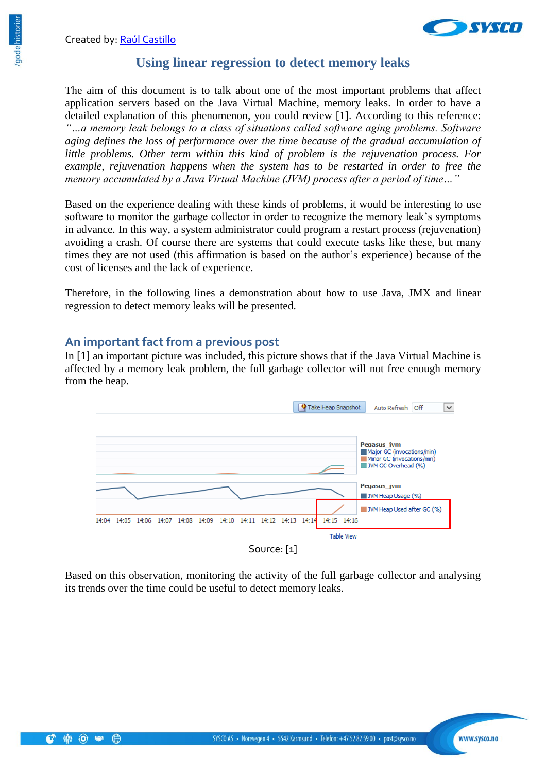

## **Using linear regression to detect memory leaks**

The aim of this document is to talk about one of the most important problems that affect application servers based on the Java Virtual Machine, memory leaks. In order to have a detailed explanation of this phenomenon, you could review [1]. According to this reference: *"…a memory leak belongs to a class of situations called software aging problems. Software aging defines the loss of performance over the time because of the gradual accumulation of little problems. Other term within this kind of problem is the rejuvenation process. For example, rejuvenation happens when the system has to be restarted in order to free the memory accumulated by a Java Virtual Machine (JVM) process after a period of time…"*

Based on the experience dealing with these kinds of problems, it would be interesting to use software to monitor the garbage collector in order to recognize the memory leak's symptoms in advance. In this way, a system administrator could program a restart process (rejuvenation) avoiding a crash. Of course there are systems that could execute tasks like these, but many times they are not used (this affirmation is based on the author's experience) because of the cost of licenses and the lack of experience.

Therefore, in the following lines a demonstration about how to use Java, JMX and linear regression to detect memory leaks will be presented.

#### **An important fact from a previous post**

In [1] an important picture was included, this picture shows that if the Java Virtual Machine is affected by a memory leak problem, the full garbage collector will not free enough memory from the heap.



Based on this observation, monitoring the activity of the full garbage collector and analysing its trends over the time could be useful to detect memory leaks.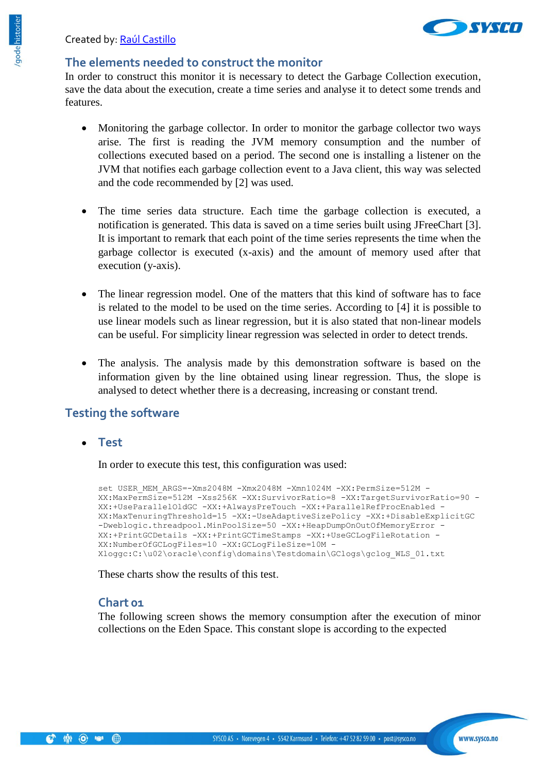

#### **The elements needed to construct the monitor**

In order to construct this monitor it is necessary to detect the Garbage Collection execution, save the data about the execution, create a time series and analyse it to detect some trends and features.

- Monitoring the garbage collector. In order to monitor the garbage collector two ways arise. The first is reading the JVM memory consumption and the number of collections executed based on a period. The second one is installing a listener on the JVM that notifies each garbage collection event to a Java client, this way was selected and the code recommended by [2] was used.
- The time series data structure. Each time the garbage collection is executed, a notification is generated. This data is saved on a time series built using JFreeChart [3]. It is important to remark that each point of the time series represents the time when the garbage collector is executed (x-axis) and the amount of memory used after that execution (y-axis).
- The linear regression model. One of the matters that this kind of software has to face is related to the model to be used on the time series. According to [4] it is possible to use linear models such as linear regression, but it is also stated that non-linear models can be useful. For simplicity linear regression was selected in order to detect trends.
- The analysis. The analysis made by this demonstration software is based on the information given by the line obtained using linear regression. Thus, the slope is analysed to detect whether there is a decreasing, increasing or constant trend.

# **Testing the software**

**Test**

In order to execute this test, this configuration was used:

```
set USER MEM ARGS=-Xms2048M -Xmx2048M -Xmn1024M -XX:PermSize=512M -
XX:MaxPermSize=512M -Xss256K -XX:SurvivorRatio=8 -XX:TargetSurvivorRatio=90 -
XX:+UseParallelOldGC -XX:+AlwaysPreTouch -XX:+ParallelRefProcEnabled -
XX:MaxTenuringThreshold=15 -XX:-UseAdaptiveSizePolicy -XX:+DisableExplicitGC 
-Dweblogic.threadpool.MinPoolSize=50 -XX:+HeapDumpOnOutOfMemoryError -
XX:+PrintGCDetails -XX:+PrintGCTimeStamps -XX:+UseGCLogFileRotation -
XX:NumberOfGCLogFiles=10 -XX:GCLogFileSize=10M -
Xloggc:C:\u02\oracle\config\domains\Testdomain\GClogs\gclog_WLS_01.txt
```
These charts show the results of this test.

#### **Chart 01**

The following screen shows the memory consumption after the execution of minor collections on the Eden Space. This constant slope is according to the expected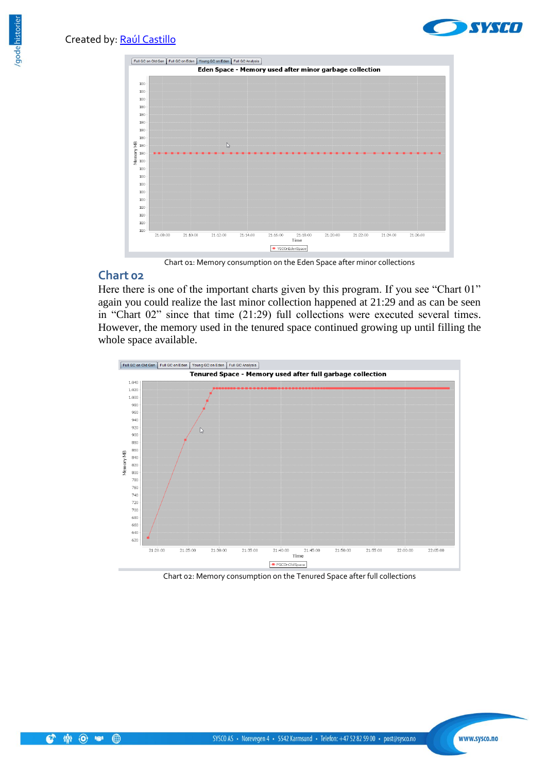



Chart 01: Memory consumption on the Eden Space after minor collections

### **Chart 02**

Here there is one of the important charts given by this program. If you see "Chart 01" again you could realize the last minor collection happened at 21:29 and as can be seen in "Chart 02" since that time (21:29) full collections were executed several times. However, the memory used in the tenured space continued growing up until filling the whole space available.



Chart 02: Memory consumption on the Tenured Space after full collections

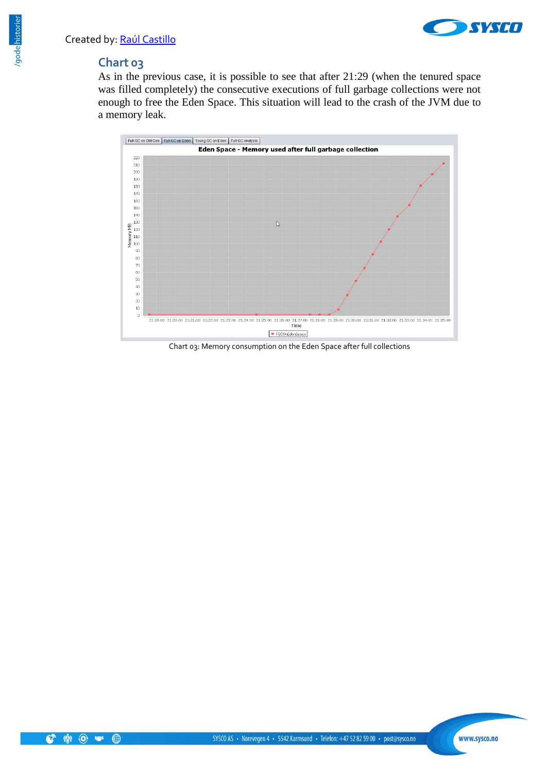

### **Chart 03**

As in the previous case, it is possible to see that after 21:29 (when the tenured space was filled completely) the consecutive executions of full garbage collections were not enough to free the Eden Space. This situation will lead to the crash of the JVM due to a memory leak.



Chart 03: Memory consumption on the Eden Space after full collections



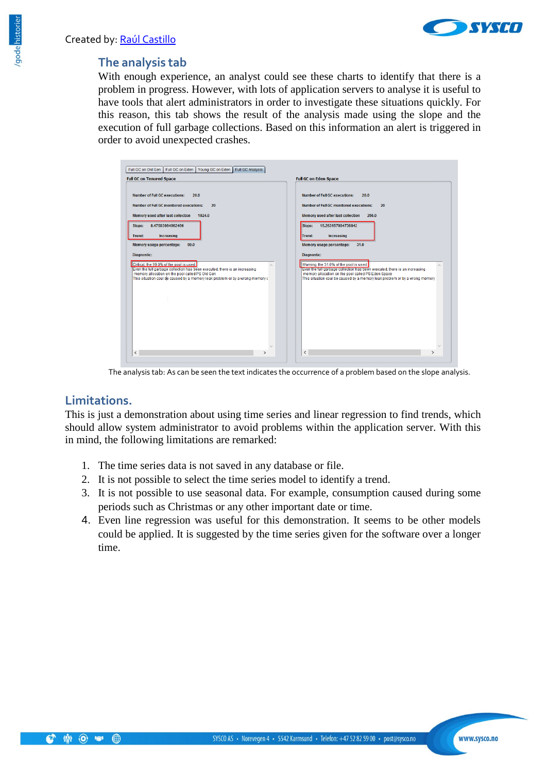

### **The analysis tab**

With enough experience, an analyst could see these charts to identify that there is a problem in progress. However, with lots of application servers to analyse it is useful to have tools that alert administrators in order to investigate these situations quickly. For this reason, this tab shows the result of the analysis made using the slope and the execution of full garbage collections. Based on this information an alert is triggered in order to avoid unexpected crashes.



The analysis tab: As can be seen the text indicates the occurrence of a problem based on the slope analysis.

### **Limitations.**

This is just a demonstration about using time series and linear regression to find trends, which should allow system administrator to avoid problems within the application server. With this in mind, the following limitations are remarked:

- 1. The time series data is not saved in any database or file.
- 2. It is not possible to select the time series model to identify a trend.
- 3. It is not possible to use seasonal data. For example, consumption caused during some periods such as Christmas or any other important date or time.
- 4. Even line regression was useful for this demonstration. It seems to be other models could be applied. It is suggested by the time series given for the software over a longer time.